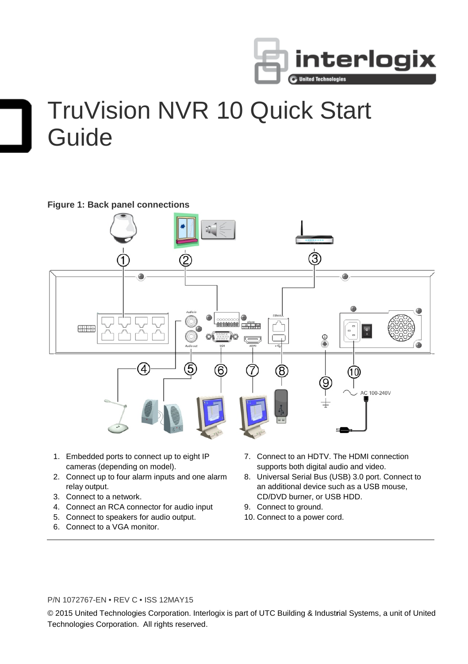

# TruVision NVR 10 Quick Start **Guide**

#### **Figure 1: Back panel connections**



- 1. Embedded ports to connect up to eight IP cameras (depending on model).
- 2. Connect up to four alarm inputs and one alarm relay output.
- 3. Connect to a network.
- 4. Connect an RCA connector for audio input
- 5. Connect to speakers for audio output.
- 6. Connect to a VGA monitor.
- 7. Connect to an HDTV. The HDMI connection supports both digital audio and video.
- 8. Universal Serial Bus (USB) 3.0 port. Connect to an additional device such as a USB mouse, CD/DVD burner, or USB HDD.
- 9. Connect to ground.
- 10. Connect to a power cord.

P/N 1072767-EN • REV C • ISS 12MAY15

© 2015 United Technologies Corporation. Interlogix is part of UTC Building & Indust**r**ial Systems, a unit of United Technologies Corporation. All rights reserved.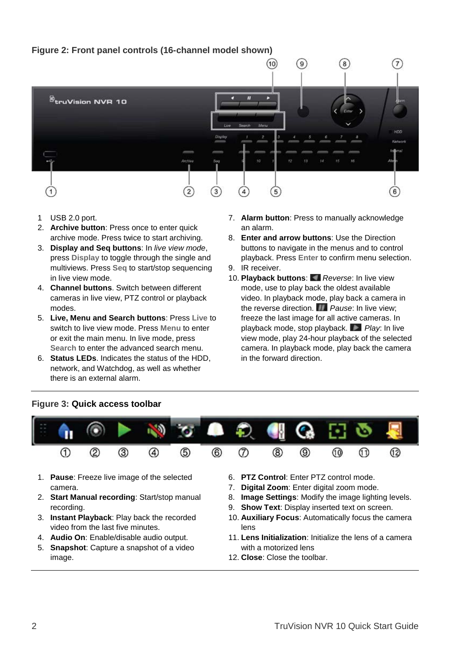#### **Figure 2: Front panel controls (16-channel model shown)**



- 1 USB 2.0 port.
- 2. **Archive button**: Press once to enter quick archive mode. Press twice to start archiving.
- 3. **Display and Seq buttons**: In *live view mode*, press **Display** to toggle through the single and multiviews. Press **Seq** to start/stop sequencing in live view mode.
- 4. **Channel buttons**. Switch between different cameras in live view, PTZ control or playback modes.
- 5. **Live, Menu and Search buttons**: Press **Live** to switch to live view mode. Press **Menu** to enter or exit the main menu. In live mode, press **Search** to enter the advanced search menu.
- 6. **Status LEDs**. Indicates the status of the HDD, network, and Watchdog, as well as whether there is an external alarm.
- 7. **Alarm button**: Press to manually acknowledge an alarm.
- 8. **Enter and arrow buttons**: Use the Direction buttons to navigate in the menus and to control playback. Press **Enter** to confirm menu selection.
- 9. IR receiver.
- 10. **Playback buttons**: *Reverse*: In live view mode, use to play back the oldest available video. In playback mode, play back a camera in the reverse direction. *Pause*: In live view; freeze the last image for all active cameras. In playback mode, stop playback. **Play:** In live view mode, play 24-hour playback of the selected camera. In playback mode, play back the camera in the forward direction.

#### **Figure 3: Quick access toolbar**



- 1. **Pause**: Freeze live image of the selected camera.
- 2. **Start Manual recording**: Start/stop manual recording.
- 3. **Instant Playback**: Play back the recorded video from the last five minutes.
- 4. **Audio On**: Enable/disable audio output.
- 5. **Snapshot**: Capture a snapshot of a video image.
- 6. **PTZ Control**: Enter PTZ control mode.
- 7. **Digital Zoom**: Enter digital zoom mode.
- 8. **Image Settings**: Modify the image lighting levels.
- 9. **Show Text**: Display inserted text on screen.
- 10. **Auxiliary Focus**: Automatically focus the camera lens
- 11. **Lens Initialization**: Initialize the lens of a camera with a motorized lens
- 12. **Close**: Close the toolbar.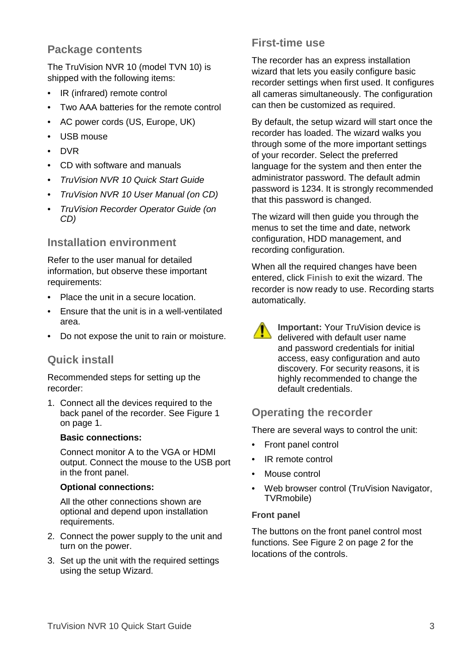## **Package contents**

The TruVision NVR 10 (model TVN 10) is shipped with the following items:

- IR (infrared) remote control
- Two AAA batteries for the remote control
- AC power cords (US, Europe, UK)
- USB mouse
- DVR
- CD with software and manuals
- *TruVision NVR 10 Quick Start Guide*
- *TruVision NVR 10 User Manual (on CD)*
- *TruVision Recorder Operator Guide (on CD)*

# **Installation environment**

Refer to the user manual for detailed information, but observe these important requirements:

- Place the unit in a secure location.
- Ensure that the unit is in a well-ventilated area.
- Do not expose the unit to rain or moisture.

## **Quick install**

Recommended steps for setting up the recorder:

1. Connect all the devices required to the back panel of the recorder. See Figure 1 on page 1.

## **Basic connections:**

Connect monitor A to the VGA or HDMI output. Connect the mouse to the USB port in the front panel.

## **Optional connections:**

All the other connections shown are optional and depend upon installation requirements.

- 2. Connect the power supply to the unit and turn on the power.
- 3. Set up the unit with the required settings using the setup Wizard.

# **First-time use**

The recorder has an express installation wizard that lets you easily configure basic recorder settings when first used. It configures all cameras simultaneously. The configuration can then be customized as required.

By default, the setup wizard will start once the recorder has loaded. The wizard walks you through some of the more important settings of your recorder. Select the preferred language for the system and then enter the administrator password. The default admin password is 1234. It is strongly recommended that this password is changed.

The wizard will then guide you through the menus to set the time and date, network configuration, HDD management, and recording configuration.

When all the required changes have been entered, click **Finish** to exit the wizard. The recorder is now ready to use. Recording starts automatically.

**Important:** Your TruVision device is delivered with default user name and password credentials for initial access, easy configuration and auto discovery. For security reasons, it is highly recommended to change the default credentials.

## **Operating the recorder**

There are several ways to control the unit:

- Front panel control
- IR remote control
- Mouse control
- Web browser control (TruVision Navigator, TVRmobile)

#### **Front panel**

The buttons on the front panel control most functions. See Figure 2 on page 2 for the locations of the controls.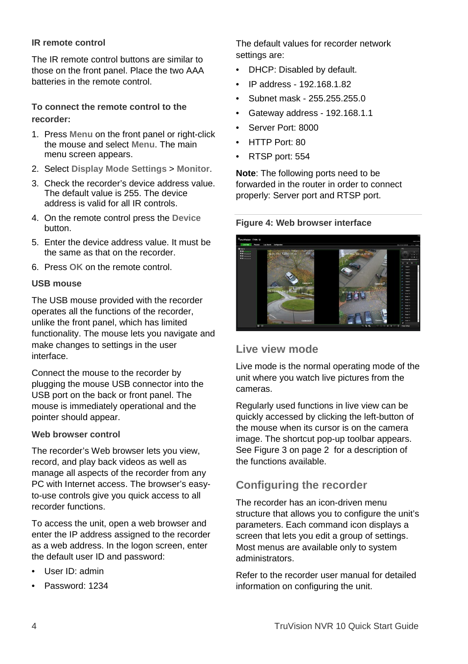#### **IR remote control**

The IR remote control buttons are similar to those on the front panel. Place the two AAA batteries in the remote control.

**To connect the remote control to the recorder:**

- 1. Press **Menu** on the front panel or right-click the mouse and select **Menu**. The main menu screen appears.
- 2. Select **Display Mode Settings** > **Monitor**.
- 3. Check the recorder's device address value. The default value is 255. The device address is valid for all IR controls.
- 4. On the remote control press the **Device** button.
- 5. Enter the device address value. It must be the same as that on the recorder.
- 6. Press **OK** on the remote control.

#### **USB mouse**

The USB mouse provided with the recorder operates all the functions of the recorder, unlike the front panel, which has limited functionality. The mouse lets you navigate and make changes to settings in the user interface.

Connect the mouse to the recorder by plugging the mouse USB connector into the USB port on the back or front panel. The mouse is immediately operational and the pointer should appear.

#### **Web browser control**

The recorder's Web browser lets you view, record, and play back videos as well as manage all aspects of the recorder from any PC with Internet access. The browser's easyto-use controls give you quick access to all recorder functions.

To access the unit, open a web browser and enter the IP address assigned to the recorder as a web address. In the logon screen, enter the default user ID and password:

- User ID: admin
- Password: 1234

The default values for recorder network settings are:

- DHCP: Disabled by default.
- IP address 192.168.1.82
- Subnet mask 255.255.255.0
- Gateway address 192.168.1.1
- Server Port: 8000
- HTTP Port: 80
- RTSP port: 554

**Note**: The following ports need to be forwarded in the router in order to connect properly: Server port and RTSP port.

#### **Figure 4: Web browser interface**



### **Live view mode**

Live mode is the normal operating mode of the unit where you watch live pictures from the cameras.

Regularly used functions in live view can be quickly accessed by clicking the left-button of the mouse when its cursor is on the camera image. The shortcut pop-up toolbar appears. See Figure 3 on page 2 for a description of the functions available.

## **Configuring the recorder**

The recorder has an icon-driven menu structure that allows you to configure the unit's parameters. Each command icon displays a screen that lets you edit a group of settings. Most menus are available only to system administrators.

Refer to the recorder user manual for detailed information on configuring the unit.